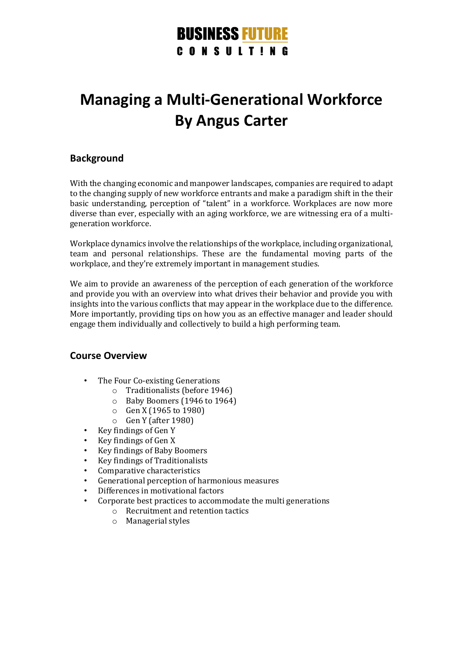## **BUSINESS FUTURE CONSULTING**

# **Managing a Multi-Generational Workforce By Angus Carter**

### **Background**

With the changing economic and manpower landscapes, companies are required to adapt to the changing supply of new workforce entrants and make a paradigm shift in the their basic understanding, perception of "talent" in a workforce. Workplaces are now more diverse than ever, especially with an aging workforce, we are witnessing era of a multigeneration workforce.

Workplace dynamics involve the relationships of the workplace, including organizational, team and personal relationships. These are the fundamental moving parts of the workplace, and they're extremely important in management studies.

We aim to provide an awareness of the perception of each generation of the workforce and provide you with an overview into what drives their behavior and provide you with insights into the various conflicts that may appear in the workplace due to the difference. More importantly, providing tips on how you as an effective manager and leader should engage them individually and collectively to build a high performing team.

#### **Course Overview**

- The Four Co-existing Generations
	- o Traditionalists (before 1946)
	- o Baby Boomers (1946 to 1964)
	- o Gen X (1965 to 1980)
	- o Gen Y (after 1980)
- Key findings of Gen Y
- Key findings of Gen X
- Key findings of Baby Boomers
- Key findings of Traditionalists
- Comparative characteristics
- Generational perception of harmonious measures
- Differences in motivational factors
- Corporate best practices to accommodate the multi generations
	- o Recruitment and retention tactics
	- o Managerial styles